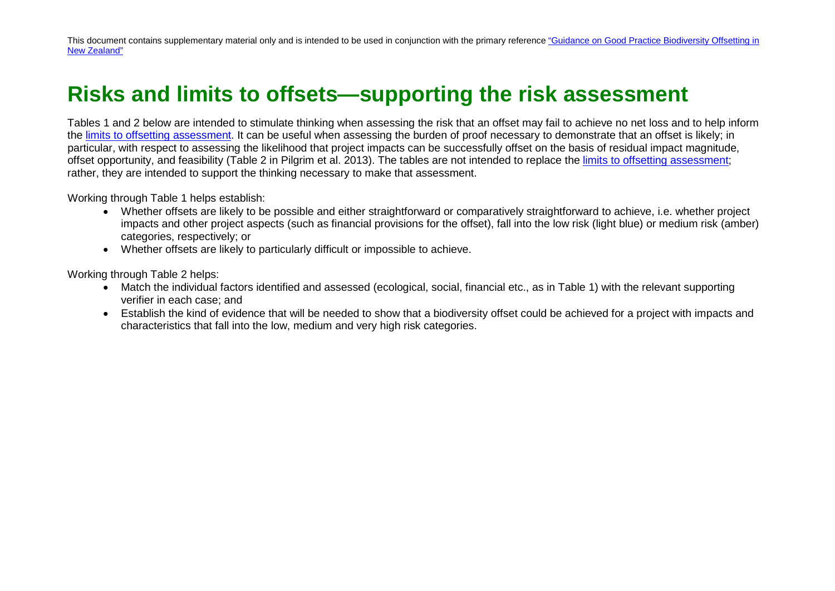## **Risks and limits to offsets—supporting the risk assessment**

Tables 1 and 2 below are intended to stimulate thinking when assessing the risk that an offset may fail to achieve no net loss and to help inform the [limits to offsetting assessment.](http://www.doc.govt.nz/documents/our-work/biodiversity-offsets/limits-to-offsetting-in-New%20Zealand.pdf) It can be useful when assessing the burden of proof necessary to demonstrate that an offset is likely; in particular, with respect to assessing the likelihood that project impacts can be successfully offset on the basis of residual impact magnitude, offset opportunity, and feasibility (Table 2 in Pilgrim et al. 2013). The tables are not intended to replace the [limits to offsetting assessment;](http://www.doc.govt.nz/documents/our-work/biodiversity-offsets/limits-to-offsetting-in-New%20Zealand.pdf) rather, they are intended to support the thinking necessary to make that assessment.

Working through Table 1 helps establish:

- Whether offsets are likely to be possible and either straightforward or comparatively straightforward to achieve, i.e. whether project impacts and other project aspects (such as financial provisions for the offset), fall into the low risk (light blue) or medium risk (amber) categories, respectively; or
- Whether offsets are likely to particularly difficult or impossible to achieve.

Working through Table 2 helps:

- Match the individual factors identified and assessed (ecological, social, financial etc., as in Table 1) with the relevant supporting verifier in each case; and
- Establish the kind of evidence that will be needed to show that a biodiversity offset could be achieved for a project with impacts and characteristics that fall into the low, medium and very high risk categories.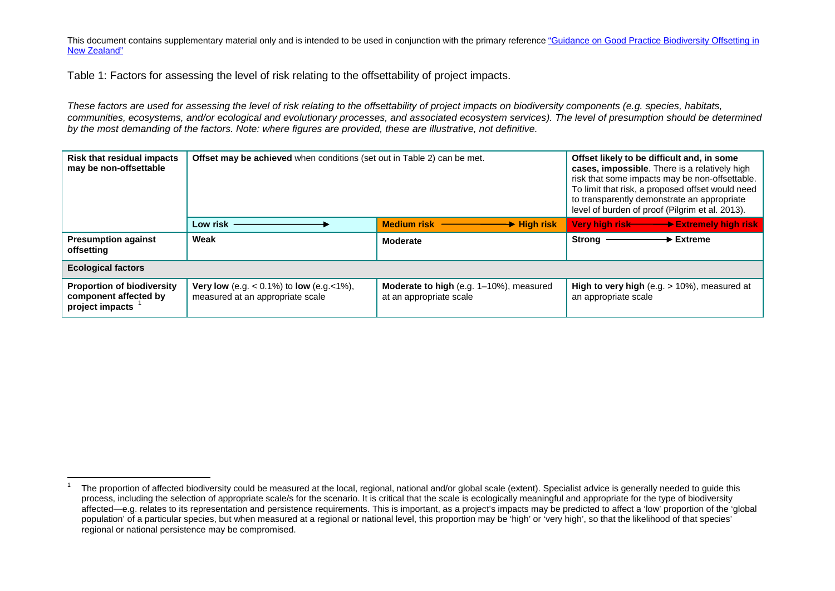Table 1: Factors for assessing the level of risk relating to the offsettability of project impacts.

*These factors are used for assessing the level of risk relating to the offsettability of project impacts on biodiversity components (e.g. species, habitats, communities, ecosystems, and/or ecological and evolutionary processes, and associated ecosystem services). The level of presumption should be determined by the most demanding of the factors. Note: where figures are provided, these are illustrative, not definitive.*

| <b>Risk that residual impacts</b><br>may be non-offsettable                   | <b>Offset may be achieved</b> when conditions (set out in Table 2) can be met.                       |                                                                    | Offset likely to be difficult and, in some<br>cases, impossible. There is a relatively high<br>risk that some impacts may be non-offsettable.<br>To limit that risk, a proposed offset would need<br>to transparently demonstrate an appropriate<br>level of burden of proof (Pilgrim et al. 2013). |
|-------------------------------------------------------------------------------|------------------------------------------------------------------------------------------------------|--------------------------------------------------------------------|-----------------------------------------------------------------------------------------------------------------------------------------------------------------------------------------------------------------------------------------------------------------------------------------------------|
|                                                                               | Low risk                                                                                             | <b>Medium risk</b><br>$\rightarrow$ High risk                      | Very high risk <b>Extremely high risk</b>                                                                                                                                                                                                                                                           |
| <b>Presumption against</b><br>offsetting                                      | Weak                                                                                                 | <b>Moderate</b>                                                    | $\rightarrow$ Extreme<br>Strong $-$                                                                                                                                                                                                                                                                 |
| <b>Ecological factors</b>                                                     |                                                                                                      |                                                                    |                                                                                                                                                                                                                                                                                                     |
| <b>Proportion of biodiversity</b><br>component affected by<br>project impacts | <b>Very low</b> (e.g. $< 0.1\%$ ) to <b>low</b> (e.g. $< 1\%$ ),<br>measured at an appropriate scale | Moderate to high (e.g. 1-10%), measured<br>at an appropriate scale | <b>High to very high</b> (e.g. $> 10\%$ ), measured at<br>an appropriate scale                                                                                                                                                                                                                      |

The proportion of affected biodiversity could be measured at the local, regional, national and/or global scale (extent). Specialist advice is generally needed to guide this process, including the selection of appropriate scale/s for the scenario. It is critical that the scale is ecologically meaningful and appropriate for the type of biodiversity affected—e.g. relates to its representation and persistence requirements. This is important, as a project's impacts may be predicted to affect a 'low' proportion of the 'global population' of a particular species, but when measured at a regional or national level, this proportion may be 'high' or 'very high', so that the likelihood of that species' regional or national persistence may be compromised.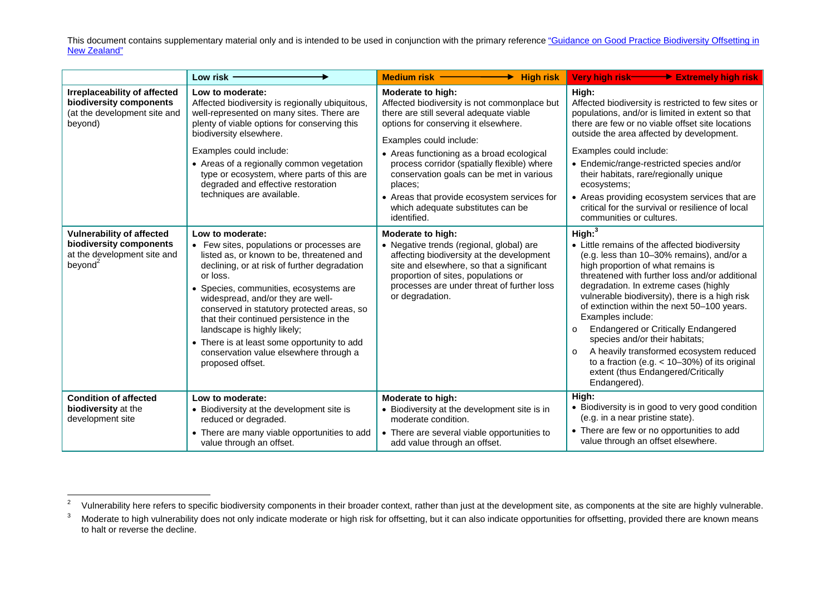|                                                                                                                   | Low risk .                                                                                                                                                                                                                                                                                                                                                                                                                                                                                 | Medium risk -<br>$\rightarrow$ High risk                                                                                                                                                                                                                                                                                                                                                                                              |                                                                                                                                                                                                                                                                                                                                                                                                                                                                                                                                                                                                                                    |
|-------------------------------------------------------------------------------------------------------------------|--------------------------------------------------------------------------------------------------------------------------------------------------------------------------------------------------------------------------------------------------------------------------------------------------------------------------------------------------------------------------------------------------------------------------------------------------------------------------------------------|---------------------------------------------------------------------------------------------------------------------------------------------------------------------------------------------------------------------------------------------------------------------------------------------------------------------------------------------------------------------------------------------------------------------------------------|------------------------------------------------------------------------------------------------------------------------------------------------------------------------------------------------------------------------------------------------------------------------------------------------------------------------------------------------------------------------------------------------------------------------------------------------------------------------------------------------------------------------------------------------------------------------------------------------------------------------------------|
| Irreplaceability of affected<br>biodiversity components<br>(at the development site and<br>beyond)                | Low to moderate:<br>Affected biodiversity is regionally ubiquitous,<br>well-represented on many sites. There are<br>plenty of viable options for conserving this<br>biodiversity elsewhere.<br>Examples could include:<br>• Areas of a regionally common vegetation<br>type or ecosystem, where parts of this are<br>degraded and effective restoration<br>techniques are available.                                                                                                       | Moderate to high:<br>Affected biodiversity is not commonplace but<br>there are still several adequate viable<br>options for conserving it elsewhere.<br>Examples could include:<br>• Areas functioning as a broad ecological<br>process corridor (spatially flexible) where<br>conservation goals can be met in various<br>places;<br>• Areas that provide ecosystem services for<br>which adequate substitutes can be<br>identified. | High:<br>Affected biodiversity is restricted to few sites or<br>populations, and/or is limited in extent so that<br>there are few or no viable offset site locations<br>outside the area affected by development.<br>Examples could include:<br>• Endemic/range-restricted species and/or<br>their habitats, rare/regionally unique<br>ecosystems;<br>• Areas providing ecosystem services that are<br>critical for the survival or resilience of local<br>communities or cultures.                                                                                                                                                |
| <b>Vulnerability of affected</b><br>biodiversity components<br>at the development site and<br>beyond <sup>2</sup> | Low to moderate:<br>• Few sites, populations or processes are<br>listed as, or known to be, threatened and<br>declining, or at risk of further degradation<br>or loss.<br>• Species, communities, ecosystems are<br>widespread, and/or they are well-<br>conserved in statutory protected areas, so<br>that their continued persistence in the<br>landscape is highly likely;<br>• There is at least some opportunity to add<br>conservation value elsewhere through a<br>proposed offset. | Moderate to high:<br>• Negative trends (regional, global) are<br>affecting biodiversity at the development<br>site and elsewhere, so that a significant<br>proportion of sites, populations or<br>processes are under threat of further loss<br>or degradation.                                                                                                                                                                       | High: <sup>3</sup><br>• Little remains of the affected biodiversity<br>(e.g. less than 10-30% remains), and/or a<br>high proportion of what remains is<br>threatened with further loss and/or additional<br>degradation. In extreme cases (highly<br>vulnerable biodiversity), there is a high risk<br>of extinction within the next 50-100 years.<br>Examples include:<br><b>Endangered or Critically Endangered</b><br>$\circ$<br>species and/or their habitats;<br>A heavily transformed ecosystem reduced<br>$\Omega$<br>to a fraction (e.g. $<$ 10-30%) of its original<br>extent (thus Endangered/Critically<br>Endangered). |
| <b>Condition of affected</b><br>biodiversity at the<br>development site                                           | Low to moderate:<br>• Biodiversity at the development site is<br>reduced or degraded.<br>• There are many viable opportunities to add<br>value through an offset.                                                                                                                                                                                                                                                                                                                          | Moderate to high:<br>• Biodiversity at the development site is in<br>moderate condition.<br>• There are several viable opportunities to<br>add value through an offset.                                                                                                                                                                                                                                                               | High:<br>• Biodiversity is in good to very good condition<br>(e.g. in a near pristine state).<br>• There are few or no opportunities to add<br>value through an offset elsewhere.                                                                                                                                                                                                                                                                                                                                                                                                                                                  |

<sup>&</sup>lt;sup>2</sup> Vulnerability here refers to specific biodiversity components in their broader context, rather than just at the development site, as components at the site are highly vulnerable.<br><sup>3</sup> Moderate to high vulnerability doe to halt or reverse the decline.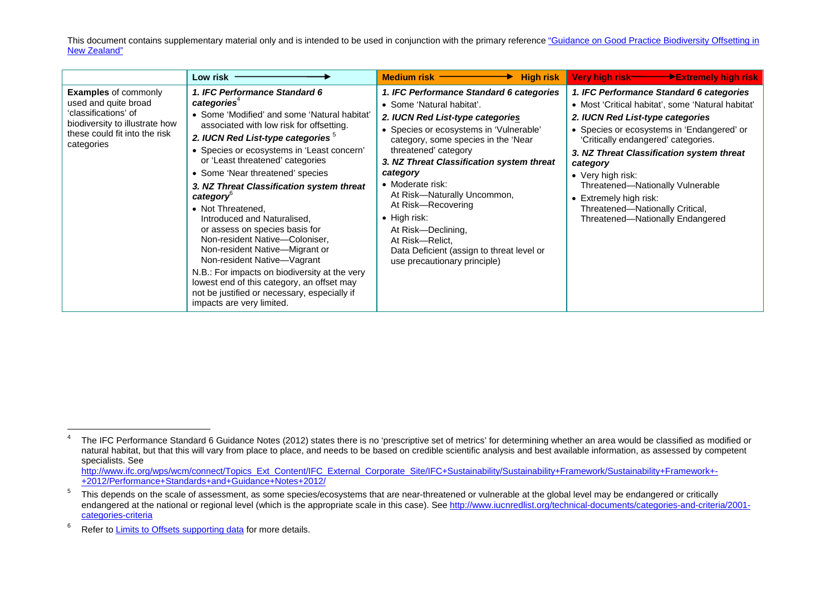|                                                                                                                                                              | Low risk                                                                                                                                                                                                                                                                                                                                                                                                                                                                                                                                                                                                                                                                                                                                                               | <b>High risk</b><br>Medium risk ————                                                                                                                                                                                                                                                                                                                                                                                                                                                                | Very high risk- <b>The Deville Property Service Contracts</b>                                                                                                                                                                                                                                                                                                                                                                             |
|--------------------------------------------------------------------------------------------------------------------------------------------------------------|------------------------------------------------------------------------------------------------------------------------------------------------------------------------------------------------------------------------------------------------------------------------------------------------------------------------------------------------------------------------------------------------------------------------------------------------------------------------------------------------------------------------------------------------------------------------------------------------------------------------------------------------------------------------------------------------------------------------------------------------------------------------|-----------------------------------------------------------------------------------------------------------------------------------------------------------------------------------------------------------------------------------------------------------------------------------------------------------------------------------------------------------------------------------------------------------------------------------------------------------------------------------------------------|-------------------------------------------------------------------------------------------------------------------------------------------------------------------------------------------------------------------------------------------------------------------------------------------------------------------------------------------------------------------------------------------------------------------------------------------|
| <b>Examples of commonly</b><br>used and quite broad<br>'classifications' of<br>biodiversity to illustrate how<br>these could fit into the risk<br>categories | 1. IFC Performance Standard 6<br>categories <sup>4</sup><br>• Some 'Modified' and some 'Natural habitat'<br>associated with low risk for offsetting.<br>2. IUCN Red List-type categories <sup>5</sup><br>• Species or ecosystems in 'Least concern'<br>or 'Least threatened' categories<br>• Some 'Near threatened' species<br>3. NZ Threat Classification system threat<br>category <sup>®</sup><br>• Not Threatened,<br>Introduced and Naturalised,<br>or assess on species basis for<br>Non-resident Native-Coloniser,<br>Non-resident Native-Migrant or<br>Non-resident Native-Vagrant<br>N.B.: For impacts on biodiversity at the very<br>lowest end of this category, an offset may<br>not be justified or necessary, especially if<br>impacts are very limited. | 1. IFC Performance Standard 6 categories<br>• Some 'Natural habitat'.<br>2. IUCN Red List-type categories<br>• Species or ecosystems in 'Vulnerable'<br>category, some species in the 'Near<br>threatened' category<br>3. NZ Threat Classification system threat<br>category<br>• Moderate risk:<br>At Risk-Naturally Uncommon,<br>At Risk-Recovering<br>$\bullet$ High risk:<br>At Risk-Declining,<br>At Risk-Relict,<br>Data Deficient (assign to threat level or<br>use precautionary principle) | 1. IFC Performance Standard 6 categories<br>• Most 'Critical habitat', some 'Natural habitat'<br>2. IUCN Red List-type categories<br>• Species or ecosystems in 'Endangered' or<br>'Critically endangered' categories.<br>3. NZ Threat Classification system threat<br>category<br>• Very high risk:<br>Threatened-Nationally Vulnerable<br>• Extremely high risk:<br>Threatened-Nationally Critical,<br>Threatened-Nationally Endangered |

<sup>&</sup>lt;sup>4</sup> The IFC Performance Standard 6 Guidance Notes (2012) states there is no 'prescriptive set of metrics' for determining whether an area would be classified as modified or natural habitat, but that this will vary from place to place, and needs to be based on credible scientific analysis and best available information, as assessed by competent specialists. See

http://www.ifc.org/wps/wcm/connect/Topics\_Ext\_Content/IFC\_External\_Corporate\_Site/IFC+Sustainability/Sustainability+Framework/Sustainability+Framework-[+2012/Performance+Standards+and+Guidance+Notes+2012/](http://www.ifc.org/wps/wcm/connect/Topics_Ext_Content/IFC_External_Corporate_Site/IFC+Sustainability/Sustainability+Framework/Sustainability+Framework+-+2012/Performance+Standards+and+Guidance+Notes+2012/)

<sup>&</sup>lt;sup>5</sup> This depends on the scale of assessment, as some species/ecosystems that are near-threatened or vulnerable at the global level may be endangered or critically endangered at the national or regional level (which is the appropriate scale in this case). Se[e http://www.iucnredlist.org/technical-documents/categories-and-criteria/2001](http://www.iucnredlist.org/technical-documents/categories-and-criteria/2001-categories-criteria) [categories-criteria](http://www.iucnredlist.org/technical-documents/categories-and-criteria/2001-categories-criteria)

<sup>&</sup>lt;sup>6</sup> Refer to [Limits to Offsets supporting data](http://www.doc.govt.nz/documents/our-work/biodiversity-offsets/limits-to-offsetting-in-New%20Zealand.pdf) for more details.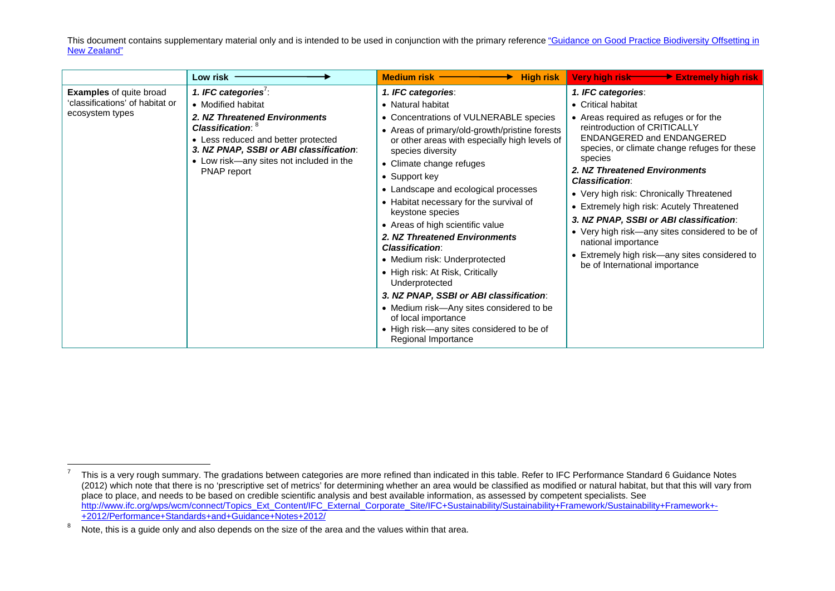|                                                                                      | Low risk                                                                                                                                                                                                                                                  | Medium risk $-$<br><b>High risk</b>                                                                                                                                                                                                                                                                                                                                                                                                                                                                                                                                                                                                                                                                                                   | Very high risk Extremely high risk                                                                                                                                                                                                                                                                                                                                                                                                                                                                                                                                    |
|--------------------------------------------------------------------------------------|-----------------------------------------------------------------------------------------------------------------------------------------------------------------------------------------------------------------------------------------------------------|---------------------------------------------------------------------------------------------------------------------------------------------------------------------------------------------------------------------------------------------------------------------------------------------------------------------------------------------------------------------------------------------------------------------------------------------------------------------------------------------------------------------------------------------------------------------------------------------------------------------------------------------------------------------------------------------------------------------------------------|-----------------------------------------------------------------------------------------------------------------------------------------------------------------------------------------------------------------------------------------------------------------------------------------------------------------------------------------------------------------------------------------------------------------------------------------------------------------------------------------------------------------------------------------------------------------------|
| <b>Examples</b> of quite broad<br>'classifications' of habitat or<br>ecosystem types | 1. IFC categories <sup>7</sup> :<br>• Modified habitat<br>2. NZ Threatened Environments<br>Classification: 8<br>• Less reduced and better protected<br>3. NZ PNAP, SSBI or ABI classification:<br>• Low risk—any sites not included in the<br>PNAP report | 1. IFC categories:<br>• Natural habitat<br>• Concentrations of VULNERABLE species<br>• Areas of primary/old-growth/pristine forests<br>or other areas with especially high levels of<br>species diversity<br>• Climate change refuges<br>• Support key<br>• Landscape and ecological processes<br>• Habitat necessary for the survival of<br>keystone species<br>• Areas of high scientific value<br>2. NZ Threatened Environments<br><b>Classification:</b><br>• Medium risk: Underprotected<br>• High risk: At Risk, Critically<br>Underprotected<br>3. NZ PNAP, SSBI or ABI classification:<br>• Medium risk-Any sites considered to be<br>of local importance<br>• High risk-any sites considered to be of<br>Regional Importance | 1. IFC categories:<br>• Critical habitat<br>• Areas required as refuges or for the<br>reintroduction of CRITICALLY<br>ENDANGERED and ENDANGERED<br>species, or climate change refuges for these<br>species<br>2. NZ Threatened Environments<br><b>Classification:</b><br>• Very high risk: Chronically Threatened<br>• Extremely high risk: Acutely Threatened<br>3. NZ PNAP, SSBI or ABI classification:<br>• Very high risk-any sites considered to be of<br>national importance<br>• Extremely high risk-any sites considered to<br>be of International importance |

 $7$  This is a very rough summary. The gradations between categories are more refined than indicated in this table. Refer to IFC Performance Standard 6 Guidance Notes (2012) which note that there is no 'prescriptive set of metrics' for determining whether an area would be classified as modified or natural habitat, but that this will vary from place to place, and needs to be based on credible scientific analysis and best available information, as assessed by competent specialists. See [http://www.ifc.org/wps/wcm/connect/Topics\\_Ext\\_Content/IFC\\_External\\_Corporate\\_Site/IFC+Sustainability/Sustainability+Framework/Sustainability+Framework+-](http://www.ifc.org/wps/wcm/connect/Topics_Ext_Content/IFC_External_Corporate_Site/IFC+Sustainability/Sustainability+Framework/Sustainability+Framework+-+2012/Performance+Standards+and+Guidance+Notes+2012/) [+2012/Performance+Standards+and+Guidance+Notes+2012/](http://www.ifc.org/wps/wcm/connect/Topics_Ext_Content/IFC_External_Corporate_Site/IFC+Sustainability/Sustainability+Framework/Sustainability+Framework+-+2012/Performance+Standards+and+Guidance+Notes+2012/)

 $8$  Note, this is a guide only and also depends on the size of the area and the values within that area.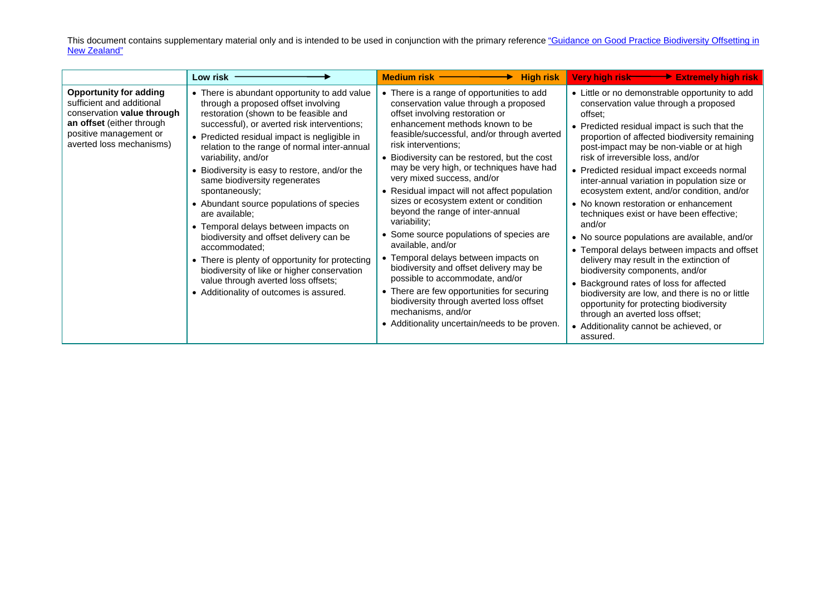|                                                                                                                                                                             | Low risk                                                                                                                                                                                                                                                                                                                                                                                                                                                                                                                                                                                                                                                                                                                                                     | Medium risk -<br><b>High risk</b>                                                                                                                                                                                                                                                                                                                                                                                                                                                                                                                                                                                                                                                                                                                                                                                                                               | Very high risk <b>Extremely high risk</b>                                                                                                                                                                                                                                                                                                                                                                                                                                                                                                                                                                                                                                                                                                                                                                                                                                                                                                         |
|-----------------------------------------------------------------------------------------------------------------------------------------------------------------------------|--------------------------------------------------------------------------------------------------------------------------------------------------------------------------------------------------------------------------------------------------------------------------------------------------------------------------------------------------------------------------------------------------------------------------------------------------------------------------------------------------------------------------------------------------------------------------------------------------------------------------------------------------------------------------------------------------------------------------------------------------------------|-----------------------------------------------------------------------------------------------------------------------------------------------------------------------------------------------------------------------------------------------------------------------------------------------------------------------------------------------------------------------------------------------------------------------------------------------------------------------------------------------------------------------------------------------------------------------------------------------------------------------------------------------------------------------------------------------------------------------------------------------------------------------------------------------------------------------------------------------------------------|---------------------------------------------------------------------------------------------------------------------------------------------------------------------------------------------------------------------------------------------------------------------------------------------------------------------------------------------------------------------------------------------------------------------------------------------------------------------------------------------------------------------------------------------------------------------------------------------------------------------------------------------------------------------------------------------------------------------------------------------------------------------------------------------------------------------------------------------------------------------------------------------------------------------------------------------------|
| <b>Opportunity for adding</b><br>sufficient and additional<br>conservation value through<br>an offset (either through<br>positive management or<br>averted loss mechanisms) | • There is abundant opportunity to add value<br>through a proposed offset involving<br>restoration (shown to be feasible and<br>successful), or averted risk interventions;<br>• Predicted residual impact is negligible in<br>relation to the range of normal inter-annual<br>variability, and/or<br>• Biodiversity is easy to restore, and/or the<br>same biodiversity regenerates<br>spontaneously;<br>• Abundant source populations of species<br>are available;<br>• Temporal delays between impacts on<br>biodiversity and offset delivery can be<br>accommodated;<br>• There is plenty of opportunity for protecting<br>biodiversity of like or higher conservation<br>value through averted loss offsets;<br>• Additionality of outcomes is assured. | • There is a range of opportunities to add<br>conservation value through a proposed<br>offset involving restoration or<br>enhancement methods known to be<br>feasible/successful, and/or through averted<br>risk interventions;<br>• Biodiversity can be restored, but the cost<br>may be very high, or techniques have had<br>very mixed success, and/or<br>• Residual impact will not affect population<br>sizes or ecosystem extent or condition<br>beyond the range of inter-annual<br>variability;<br>• Some source populations of species are<br>available, and/or<br>• Temporal delays between impacts on<br>biodiversity and offset delivery may be<br>possible to accommodate, and/or<br>• There are few opportunities for securing<br>biodiversity through averted loss offset<br>mechanisms, and/or<br>• Additionality uncertain/needs to be proven. | • Little or no demonstrable opportunity to add<br>conservation value through a proposed<br>offset:<br>• Predicted residual impact is such that the<br>proportion of affected biodiversity remaining<br>post-impact may be non-viable or at high<br>risk of irreversible loss, and/or<br>• Predicted residual impact exceeds normal<br>inter-annual variation in population size or<br>ecosystem extent, and/or condition, and/or<br>• No known restoration or enhancement<br>techniques exist or have been effective;<br>and/or<br>• No source populations are available, and/or<br>• Temporal delays between impacts and offset<br>delivery may result in the extinction of<br>biodiversity components, and/or<br>• Background rates of loss for affected<br>biodiversity are low, and there is no or little<br>opportunity for protecting biodiversity<br>through an averted loss offset;<br>• Additionality cannot be achieved, or<br>assured. |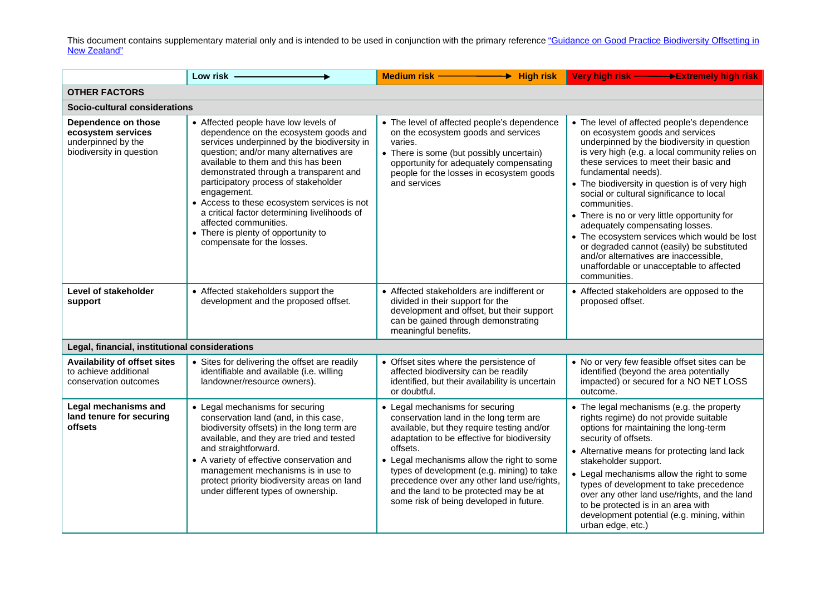|                                                                                             | Low risk                                                                                                                                                                                                                                                                                                                                                                                                                                                                                                    | Medium risk -<br>$\rightarrow$ High risk                                                                                                                                                                                                                                                                                                                                                                          | Very high risk ––––––→Extremely high risk                                                                                                                                                                                                                                                                                                                                                                                                                                                                                                                                                                                                            |  |
|---------------------------------------------------------------------------------------------|-------------------------------------------------------------------------------------------------------------------------------------------------------------------------------------------------------------------------------------------------------------------------------------------------------------------------------------------------------------------------------------------------------------------------------------------------------------------------------------------------------------|-------------------------------------------------------------------------------------------------------------------------------------------------------------------------------------------------------------------------------------------------------------------------------------------------------------------------------------------------------------------------------------------------------------------|------------------------------------------------------------------------------------------------------------------------------------------------------------------------------------------------------------------------------------------------------------------------------------------------------------------------------------------------------------------------------------------------------------------------------------------------------------------------------------------------------------------------------------------------------------------------------------------------------------------------------------------------------|--|
| <b>OTHER FACTORS</b>                                                                        |                                                                                                                                                                                                                                                                                                                                                                                                                                                                                                             |                                                                                                                                                                                                                                                                                                                                                                                                                   |                                                                                                                                                                                                                                                                                                                                                                                                                                                                                                                                                                                                                                                      |  |
| Socio-cultural considerations                                                               |                                                                                                                                                                                                                                                                                                                                                                                                                                                                                                             |                                                                                                                                                                                                                                                                                                                                                                                                                   |                                                                                                                                                                                                                                                                                                                                                                                                                                                                                                                                                                                                                                                      |  |
| Dependence on those<br>ecosystem services<br>underpinned by the<br>biodiversity in question | • Affected people have low levels of<br>dependence on the ecosystem goods and<br>services underpinned by the biodiversity in<br>question; and/or many alternatives are<br>available to them and this has been<br>demonstrated through a transparent and<br>participatory process of stakeholder<br>engagement.<br>• Access to these ecosystem services is not<br>a critical factor determining livelihoods of<br>affected communities.<br>• There is plenty of opportunity to<br>compensate for the losses. | • The level of affected people's dependence<br>on the ecosystem goods and services<br>varies.<br>• There is some (but possibly uncertain)<br>opportunity for adequately compensating<br>people for the losses in ecosystem goods<br>and services                                                                                                                                                                  | • The level of affected people's dependence<br>on ecosystem goods and services<br>underpinned by the biodiversity in question<br>is very high (e.g. a local community relies on<br>these services to meet their basic and<br>fundamental needs).<br>• The biodiversity in question is of very high<br>social or cultural significance to local<br>communities.<br>• There is no or very little opportunity for<br>adequately compensating losses.<br>• The ecosystem services which would be lost<br>or degraded cannot (easily) be substituted<br>and/or alternatives are inaccessible,<br>unaffordable or unacceptable to affected<br>communities. |  |
| Level of stakeholder<br>support                                                             | • Affected stakeholders support the<br>development and the proposed offset.                                                                                                                                                                                                                                                                                                                                                                                                                                 | • Affected stakeholders are indifferent or<br>divided in their support for the<br>development and offset, but their support<br>can be gained through demonstrating<br>meaningful benefits.                                                                                                                                                                                                                        | • Affected stakeholders are opposed to the<br>proposed offset.                                                                                                                                                                                                                                                                                                                                                                                                                                                                                                                                                                                       |  |
| Legal, financial, institutional considerations                                              |                                                                                                                                                                                                                                                                                                                                                                                                                                                                                                             |                                                                                                                                                                                                                                                                                                                                                                                                                   |                                                                                                                                                                                                                                                                                                                                                                                                                                                                                                                                                                                                                                                      |  |
| <b>Availability of offset sites</b><br>to achieve additional<br>conservation outcomes       | • Sites for delivering the offset are readily<br>identifiable and available (i.e. willing<br>landowner/resource owners).                                                                                                                                                                                                                                                                                                                                                                                    | • Offset sites where the persistence of<br>affected biodiversity can be readily<br>identified, but their availability is uncertain<br>or doubtful.                                                                                                                                                                                                                                                                | • No or very few feasible offset sites can be<br>identified (beyond the area potentially<br>impacted) or secured for a NO NET LOSS<br>outcome.                                                                                                                                                                                                                                                                                                                                                                                                                                                                                                       |  |
| Legal mechanisms and<br>land tenure for securing<br>offsets                                 | • Legal mechanisms for securing<br>conservation land (and, in this case,<br>biodiversity offsets) in the long term are<br>available, and they are tried and tested<br>and straightforward.<br>• A variety of effective conservation and<br>management mechanisms is in use to<br>protect priority biodiversity areas on land<br>under different types of ownership.                                                                                                                                         | • Legal mechanisms for securing<br>conservation land in the long term are<br>available, but they require testing and/or<br>adaptation to be effective for biodiversity<br>offsets.<br>• Legal mechanisms allow the right to some<br>types of development (e.g. mining) to take<br>precedence over any other land use/rights,<br>and the land to be protected may be at<br>some risk of being developed in future. | • The legal mechanisms (e.g. the property<br>rights regime) do not provide suitable<br>options for maintaining the long-term<br>security of offsets.<br>• Alternative means for protecting land lack<br>stakeholder support.<br>• Legal mechanisms allow the right to some<br>types of development to take precedence<br>over any other land use/rights, and the land<br>to be protected is in an area with<br>development potential (e.g. mining, within<br>urban edge, etc.)                                                                                                                                                                       |  |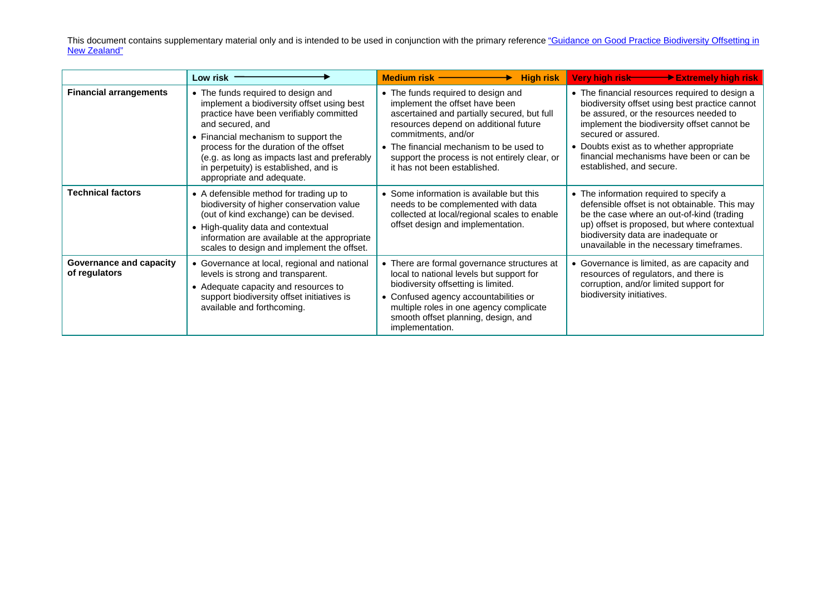|                                          | Low risk                                                                                                                                                                                                                                                                                                                                                | <b>High risk</b><br>Medium risk —————                                                                                                                                                                                                                                                                           | Very high risk Extremely high risk                                                                                                                                                                                                                                                                                                   |
|------------------------------------------|---------------------------------------------------------------------------------------------------------------------------------------------------------------------------------------------------------------------------------------------------------------------------------------------------------------------------------------------------------|-----------------------------------------------------------------------------------------------------------------------------------------------------------------------------------------------------------------------------------------------------------------------------------------------------------------|--------------------------------------------------------------------------------------------------------------------------------------------------------------------------------------------------------------------------------------------------------------------------------------------------------------------------------------|
| <b>Financial arrangements</b>            | • The funds required to design and<br>implement a biodiversity offset using best<br>practice have been verifiably committed<br>and secured, and<br>• Financial mechanism to support the<br>process for the duration of the offset<br>(e.g. as long as impacts last and preferably<br>in perpetuity) is established, and is<br>appropriate and adequate. | • The funds required to design and<br>implement the offset have been<br>ascertained and partially secured, but full<br>resources depend on additional future<br>commitments, and/or<br>• The financial mechanism to be used to<br>support the process is not entirely clear, or<br>it has not been established. | • The financial resources required to design a<br>biodiversity offset using best practice cannot<br>be assured, or the resources needed to<br>implement the biodiversity offset cannot be<br>secured or assured.<br>• Doubts exist as to whether appropriate<br>financial mechanisms have been or can be<br>established, and secure. |
| <b>Technical factors</b>                 | • A defensible method for trading up to<br>biodiversity of higher conservation value<br>(out of kind exchange) can be devised.<br>• High-quality data and contextual<br>information are available at the appropriate<br>scales to design and implement the offset.                                                                                      | • Some information is available but this<br>needs to be complemented with data<br>collected at local/regional scales to enable<br>offset design and implementation.                                                                                                                                             | • The information required to specify a<br>defensible offset is not obtainable. This may<br>be the case where an out-of-kind (trading<br>up) offset is proposed, but where contextual<br>biodiversity data are inadequate or<br>unavailable in the necessary timeframes.                                                             |
| Governance and capacity<br>of regulators | • Governance at local, regional and national<br>levels is strong and transparent.<br>• Adequate capacity and resources to<br>support biodiversity offset initiatives is<br>available and forthcoming.                                                                                                                                                   | • There are formal governance structures at<br>local to national levels but support for<br>biodiversity offsetting is limited.<br>• Confused agency accountabilities or<br>multiple roles in one agency complicate<br>smooth offset planning, design, and<br>implementation.                                    | • Governance is limited, as are capacity and<br>resources of regulators, and there is<br>corruption, and/or limited support for<br>biodiversity initiatives.                                                                                                                                                                         |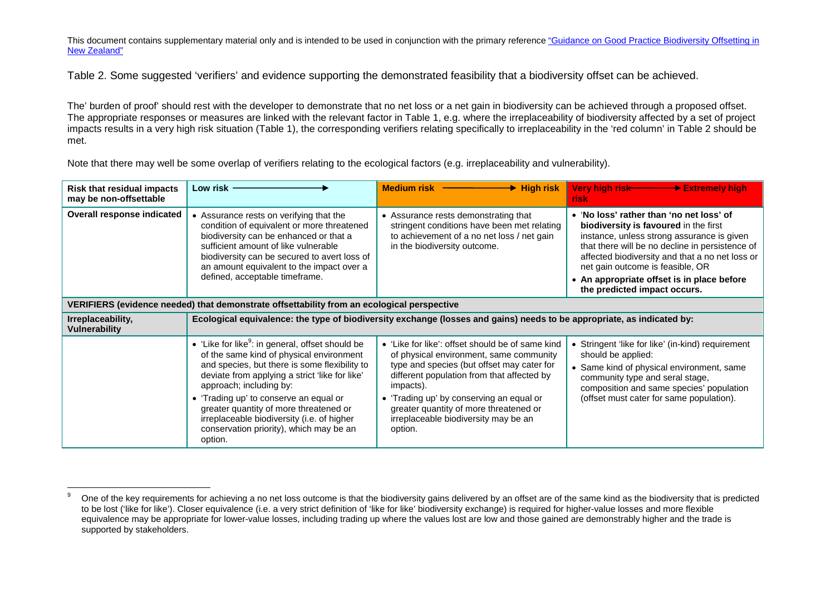Table 2. Some suggested 'verifiers' and evidence supporting the demonstrated feasibility that a biodiversity offset can be achieved.

The' burden of proof' should rest with the developer to demonstrate that no net loss or a net gain in biodiversity can be achieved through a proposed offset. The appropriate responses or measures are linked with the relevant factor in Table 1, e.g. where the irreplaceability of biodiversity affected by a set of project impacts results in a very high risk situation (Table 1), the corresponding verifiers relating specifically to irreplaceability in the 'red column' in Table 2 should be met.

Note that there may well be some overlap of verifiers relating to the ecological factors (e.g. irreplaceability and vulnerability).

| <b>Risk that residual impacts</b><br>may be non-offsettable                                | Low risk                                                                                                                                                                                                                                                                                                                                                                                                                       | Medium risk <b>Constanting Medium risk</b><br>$\rightarrow$ High risk                                                                                                                                                                                                                                                                         | Very high risk <b>→ → Extremely high</b><br>risk                                                                                                                                                                                                                                                                                                        |
|--------------------------------------------------------------------------------------------|--------------------------------------------------------------------------------------------------------------------------------------------------------------------------------------------------------------------------------------------------------------------------------------------------------------------------------------------------------------------------------------------------------------------------------|-----------------------------------------------------------------------------------------------------------------------------------------------------------------------------------------------------------------------------------------------------------------------------------------------------------------------------------------------|---------------------------------------------------------------------------------------------------------------------------------------------------------------------------------------------------------------------------------------------------------------------------------------------------------------------------------------------------------|
| Overall response indicated                                                                 | Assurance rests on verifying that the<br>condition of equivalent or more threatened<br>biodiversity can be enhanced or that a<br>sufficient amount of like vulnerable<br>biodiversity can be secured to avert loss of<br>an amount equivalent to the impact over a<br>defined, acceptable timeframe.                                                                                                                           | • Assurance rests demonstrating that<br>stringent conditions have been met relating<br>to achievement of a no net loss / net gain<br>in the biodiversity outcome.                                                                                                                                                                             | • 'No loss' rather than 'no net loss' of<br>biodiversity is favoured in the first<br>instance, unless strong assurance is given<br>that there will be no decline in persistence of<br>affected biodiversity and that a no net loss or<br>net gain outcome is feasible, OR<br>• An appropriate offset is in place before<br>the predicted impact occurs. |
| VERIFIERS (evidence needed) that demonstrate offsettability from an ecological perspective |                                                                                                                                                                                                                                                                                                                                                                                                                                |                                                                                                                                                                                                                                                                                                                                               |                                                                                                                                                                                                                                                                                                                                                         |
| Irreplaceability,<br><b>Vulnerability</b>                                                  |                                                                                                                                                                                                                                                                                                                                                                                                                                | Ecological equivalence: the type of biodiversity exchange (losses and gains) needs to be appropriate, as indicated by:                                                                                                                                                                                                                        |                                                                                                                                                                                                                                                                                                                                                         |
|                                                                                            | • 'Like for like <sup>9</sup> : in general, offset should be<br>of the same kind of physical environment<br>and species, but there is some flexibility to<br>deviate from applying a strict 'like for like'<br>approach; including by:<br>• 'Trading up' to conserve an equal or<br>greater quantity of more threatened or<br>irreplaceable biodiversity (i.e. of higher<br>conservation priority), which may be an<br>option. | • 'Like for like': offset should be of same kind<br>of physical environment, same community<br>type and species (but offset may cater for<br>different population from that affected by<br>impacts).<br>• 'Trading up' by conserving an equal or<br>greater quantity of more threatened or<br>irreplaceable biodiversity may be an<br>option. | • Stringent 'like for like' (in-kind) requirement<br>should be applied:<br>• Same kind of physical environment, same<br>community type and seral stage,<br>composition and same species' population<br>(offset must cater for same population).                                                                                                         |

<sup>&</sup>lt;sup>9</sup> One of the key requirements for achieving a no net loss outcome is that the biodiversity gains delivered by an offset are of the same kind as the biodiversity that is predicted to be lost ('like for like'). Closer equivalence (i.e. a very strict definition of 'like for like' biodiversity exchange) is required for higher-value losses and more flexible equivalence may be appropriate for lower-value losses, including trading up where the values lost are low and those gained are demonstrably higher and the trade is supported by stakeholders.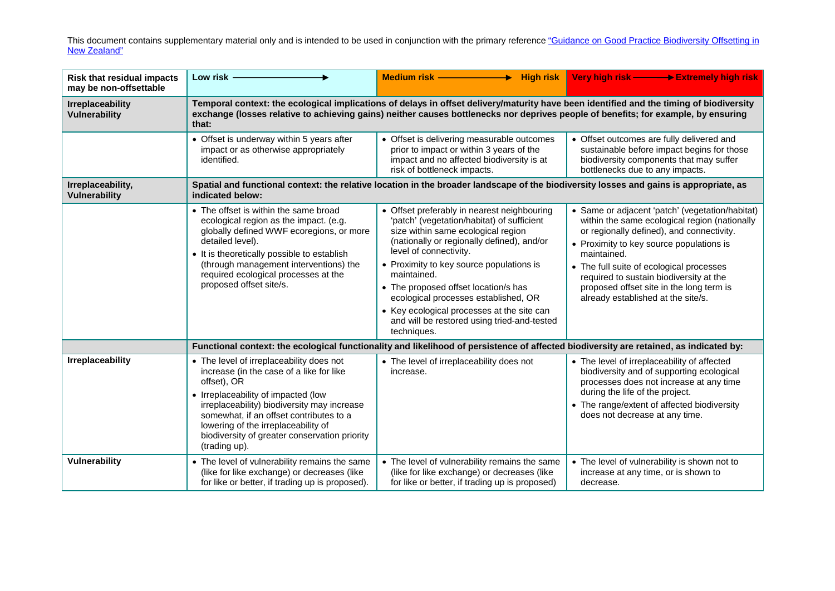| <b>Risk that residual impacts</b><br>may be non-offsettable | Low risk -                                                                                                                                                                                                                                                                                                                                    | Medium risk - The Medium of the American Section<br>$\rightarrow$ High risk                                                                                                                                                                                                                                                                                                                                                                                    | Very high risk —— > Extremely high risk                                                                                                                                                                                                                                                                                                                                           |  |
|-------------------------------------------------------------|-----------------------------------------------------------------------------------------------------------------------------------------------------------------------------------------------------------------------------------------------------------------------------------------------------------------------------------------------|----------------------------------------------------------------------------------------------------------------------------------------------------------------------------------------------------------------------------------------------------------------------------------------------------------------------------------------------------------------------------------------------------------------------------------------------------------------|-----------------------------------------------------------------------------------------------------------------------------------------------------------------------------------------------------------------------------------------------------------------------------------------------------------------------------------------------------------------------------------|--|
| <b>Irreplaceability</b><br><b>Vulnerability</b>             | that:                                                                                                                                                                                                                                                                                                                                         | Temporal context: the ecological implications of delays in offset delivery/maturity have been identified and the timing of biodiversity<br>exchange (losses relative to achieving gains) neither causes bottlenecks nor deprives people of benefits; for example, by ensuring                                                                                                                                                                                  |                                                                                                                                                                                                                                                                                                                                                                                   |  |
|                                                             | • Offset is underway within 5 years after<br>impact or as otherwise appropriately<br>identified.                                                                                                                                                                                                                                              | • Offset is delivering measurable outcomes<br>prior to impact or within 3 years of the<br>impact and no affected biodiversity is at<br>risk of bottleneck impacts.                                                                                                                                                                                                                                                                                             | • Offset outcomes are fully delivered and<br>sustainable before impact begins for those<br>biodiversity components that may suffer<br>bottlenecks due to any impacts.                                                                                                                                                                                                             |  |
| Irreplaceability,<br><b>Vulnerability</b>                   | Spatial and functional context: the relative location in the broader landscape of the biodiversity losses and gains is appropriate, as<br>indicated below:                                                                                                                                                                                    |                                                                                                                                                                                                                                                                                                                                                                                                                                                                |                                                                                                                                                                                                                                                                                                                                                                                   |  |
|                                                             | • The offset is within the same broad<br>ecological region as the impact. (e.g.<br>globally defined WWF ecoregions, or more<br>detailed level).<br>• It is theoretically possible to establish<br>(through management interventions) the<br>required ecological processes at the<br>proposed offset site/s.                                   | • Offset preferably in nearest neighbouring<br>'patch' (vegetation/habitat) of sufficient<br>size within same ecological region<br>(nationally or regionally defined), and/or<br>level of connectivity.<br>• Proximity to key source populations is<br>maintained.<br>• The proposed offset location/s has<br>ecological processes established, OR<br>• Key ecological processes at the site can<br>and will be restored using tried-and-tested<br>techniques. | • Same or adjacent 'patch' (vegetation/habitat)<br>within the same ecological region (nationally<br>or regionally defined), and connectivity.<br>• Proximity to key source populations is<br>maintained.<br>• The full suite of ecological processes<br>required to sustain biodiversity at the<br>proposed offset site in the long term is<br>already established at the site/s. |  |
|                                                             |                                                                                                                                                                                                                                                                                                                                               | Functional context: the ecological functionality and likelihood of persistence of affected biodiversity are retained, as indicated by:                                                                                                                                                                                                                                                                                                                         |                                                                                                                                                                                                                                                                                                                                                                                   |  |
| <b>Irreplaceability</b>                                     | • The level of irreplaceability does not<br>increase (in the case of a like for like<br>offset), OR<br>• Irreplaceability of impacted (low<br>irreplaceability) biodiversity may increase<br>somewhat, if an offset contributes to a<br>lowering of the irreplaceability of<br>biodiversity of greater conservation priority<br>(trading up). | • The level of irreplaceability does not<br>increase.                                                                                                                                                                                                                                                                                                                                                                                                          | • The level of irreplaceability of affected<br>biodiversity and of supporting ecological<br>processes does not increase at any time<br>during the life of the project.<br>• The range/extent of affected biodiversity<br>does not decrease at any time.                                                                                                                           |  |
| <b>Vulnerability</b>                                        | • The level of vulnerability remains the same<br>(like for like exchange) or decreases (like<br>for like or better, if trading up is proposed).                                                                                                                                                                                               | • The level of vulnerability remains the same<br>(like for like exchange) or decreases (like<br>for like or better, if trading up is proposed)                                                                                                                                                                                                                                                                                                                 | • The level of vulnerability is shown not to<br>increase at any time, or is shown to<br>decrease.                                                                                                                                                                                                                                                                                 |  |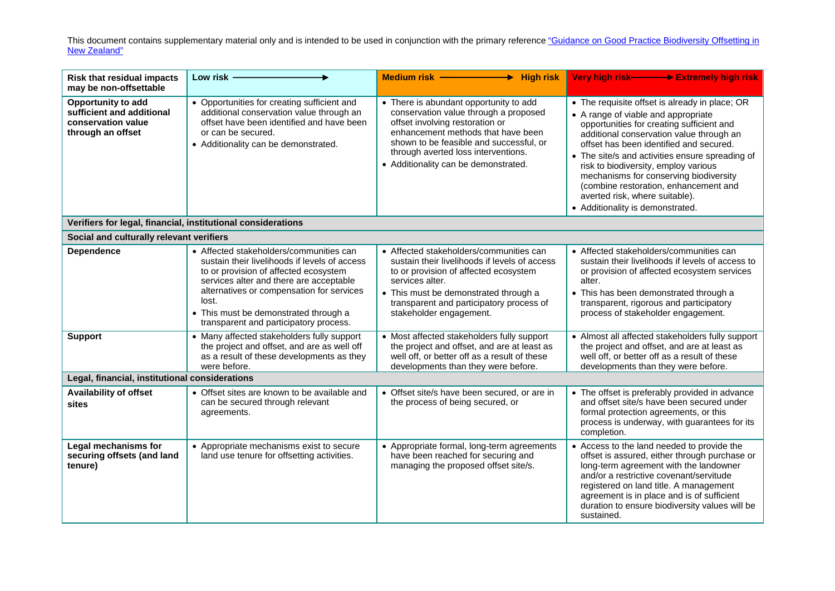| <b>Risk that residual impacts</b><br>may be non-offsettable                                       | Low risk -                                                                                                                                                                                                                                                                                                            | Medium risk -<br><b>High risk</b>                                                                                                                                                                                                                                                  | Very high risk- Extremely high risk                                                                                                                                                                                                                                                                                                                                                                                                                                           |
|---------------------------------------------------------------------------------------------------|-----------------------------------------------------------------------------------------------------------------------------------------------------------------------------------------------------------------------------------------------------------------------------------------------------------------------|------------------------------------------------------------------------------------------------------------------------------------------------------------------------------------------------------------------------------------------------------------------------------------|-------------------------------------------------------------------------------------------------------------------------------------------------------------------------------------------------------------------------------------------------------------------------------------------------------------------------------------------------------------------------------------------------------------------------------------------------------------------------------|
| <b>Opportunity to add</b><br>sufficient and additional<br>conservation value<br>through an offset | • Opportunities for creating sufficient and<br>additional conservation value through an<br>offset have been identified and have been<br>or can be secured.<br>• Additionality can be demonstrated.                                                                                                                    | • There is abundant opportunity to add<br>conservation value through a proposed<br>offset involving restoration or<br>enhancement methods that have been<br>shown to be feasible and successful, or<br>through averted loss interventions.<br>• Additionality can be demonstrated. | • The requisite offset is already in place; OR<br>• A range of viable and appropriate<br>opportunities for creating sufficient and<br>additional conservation value through an<br>offset has been identified and secured.<br>• The site/s and activities ensure spreading of<br>risk to biodiversity, employ various<br>mechanisms for conserving biodiversity<br>(combine restoration, enhancement and<br>averted risk, where suitable).<br>• Additionality is demonstrated. |
| Verifiers for legal, financial, institutional considerations                                      |                                                                                                                                                                                                                                                                                                                       |                                                                                                                                                                                                                                                                                    |                                                                                                                                                                                                                                                                                                                                                                                                                                                                               |
| Social and culturally relevant verifiers                                                          |                                                                                                                                                                                                                                                                                                                       |                                                                                                                                                                                                                                                                                    |                                                                                                                                                                                                                                                                                                                                                                                                                                                                               |
| <b>Dependence</b>                                                                                 | • Affected stakeholders/communities can<br>sustain their livelihoods if levels of access<br>to or provision of affected ecosystem<br>services alter and there are acceptable<br>alternatives or compensation for services<br>lost.<br>• This must be demonstrated through a<br>transparent and participatory process. | • Affected stakeholders/communities can<br>sustain their livelihoods if levels of access<br>to or provision of affected ecosystem<br>services alter.<br>• This must be demonstrated through a<br>transparent and participatory process of<br>stakeholder engagement.               | • Affected stakeholders/communities can<br>sustain their livelihoods if levels of access to<br>or provision of affected ecosystem services<br>alter.<br>• This has been demonstrated through a<br>transparent, rigorous and participatory<br>process of stakeholder engagement.                                                                                                                                                                                               |
| <b>Support</b>                                                                                    | • Many affected stakeholders fully support<br>the project and offset, and are as well off<br>as a result of these developments as they<br>were before.                                                                                                                                                                | • Most affected stakeholders fully support<br>the project and offset, and are at least as<br>well off, or better off as a result of these<br>developments than they were before.                                                                                                   | • Almost all affected stakeholders fully support<br>the project and offset, and are at least as<br>well off, or better off as a result of these<br>developments than they were before.                                                                                                                                                                                                                                                                                        |
| Legal, financial, institutional considerations                                                    |                                                                                                                                                                                                                                                                                                                       |                                                                                                                                                                                                                                                                                    |                                                                                                                                                                                                                                                                                                                                                                                                                                                                               |
| <b>Availability of offset</b><br>sites                                                            | • Offset sites are known to be available and<br>can be secured through relevant<br>agreements.                                                                                                                                                                                                                        | • Offset site/s have been secured, or are in<br>the process of being secured, or                                                                                                                                                                                                   | • The offset is preferably provided in advance<br>and offset site/s have been secured under<br>formal protection agreements, or this<br>process is underway, with guarantees for its<br>completion.                                                                                                                                                                                                                                                                           |
| Legal mechanisms for<br>securing offsets (and land<br>tenure)                                     | • Appropriate mechanisms exist to secure<br>land use tenure for offsetting activities.                                                                                                                                                                                                                                | • Appropriate formal, long-term agreements<br>have been reached for securing and<br>managing the proposed offset site/s.                                                                                                                                                           | • Access to the land needed to provide the<br>offset is assured, either through purchase or<br>long-term agreement with the landowner<br>and/or a restrictive covenant/servitude<br>registered on land title. A management<br>agreement is in place and is of sufficient<br>duration to ensure biodiversity values will be<br>sustained.                                                                                                                                      |